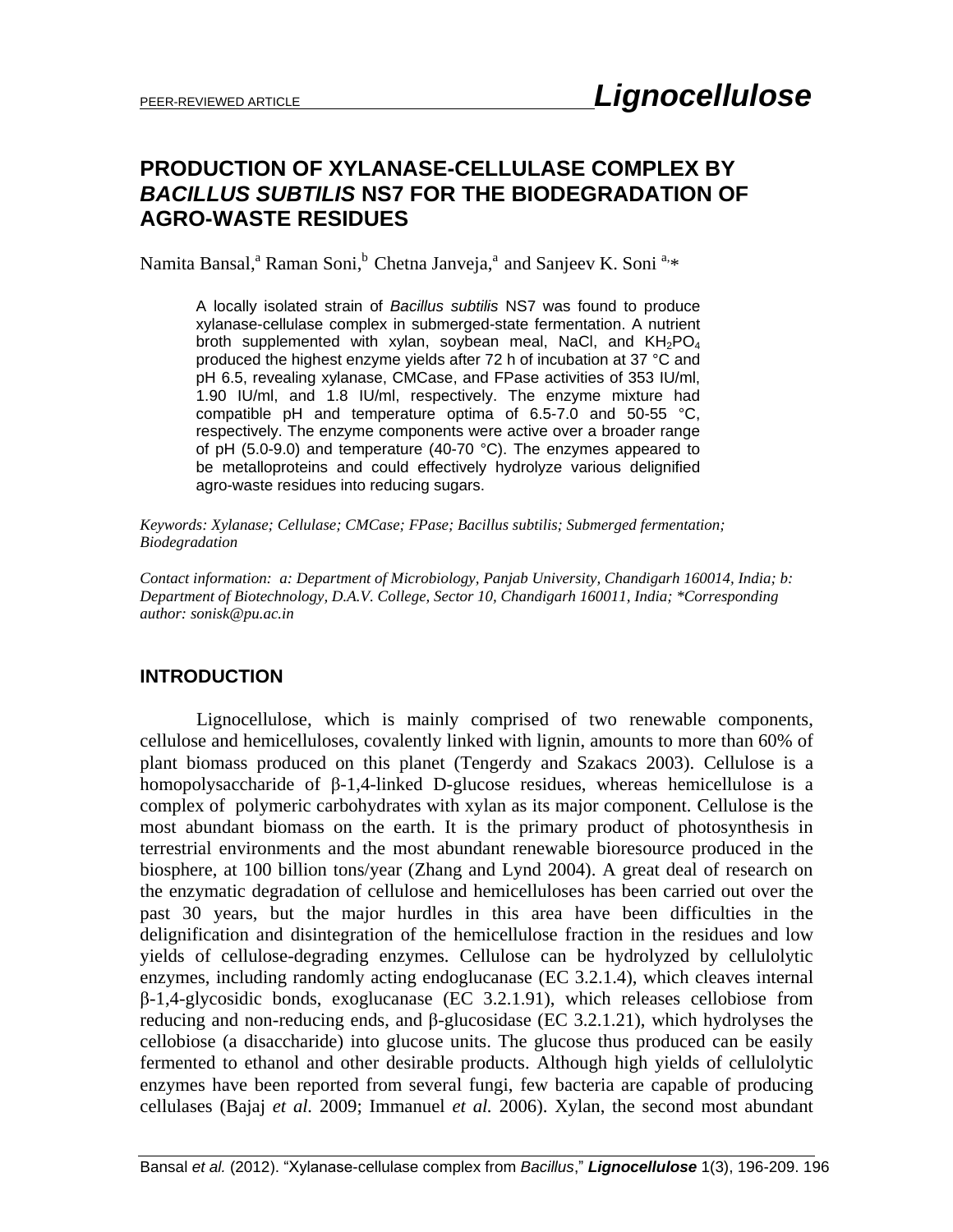## **PRODUCTION OF XYLANASE-CELLULASE COMPLEX BY**  *BACILLUS SUBTILIS* **NS7 FOR THE BIODEGRADATION OF AGRO-WASTE RESIDUES**

Namita Bansal,<sup>a</sup> Raman Soni,<sup>b</sup> Chetna Janveja,<sup>a</sup> and Sanjeev K. Soni <sup>a,\*</sup>

A locally isolated strain of *Bacillus subtilis* NS7 was found to produce xylanase-cellulase complex in submerged-state fermentation. A nutrient broth supplemented with xylan, soybean meal, NaCl, and  $KH_{2}PO_{4}$ produced the highest enzyme yields after 72 h of incubation at 37 °C and pH 6.5, revealing xylanase, CMCase, and FPase activities of 353 IU/ml, 1.90 IU/ml, and 1.8 IU/ml, respectively. The enzyme mixture had compatible pH and temperature optima of 6.5-7.0 and 50-55 °C, respectively. The enzyme components were active over a broader range of pH (5.0-9.0) and temperature (40-70 °C). The enzymes appeared to be metalloproteins and could effectively hydrolyze various delignified agro-waste residues into reducing sugars.

*Keywords: Xylanase; Cellulase; CMCase; FPase; Bacillus subtilis; Submerged fermentation; Biodegradation*

*Contact information: a: Department of Microbiology, Panjab University, Chandigarh 160014, India; b: Department of Biotechnology, D.A.V. College, Sector 10, Chandigarh 160011, India; \*Corresponding author: sonisk@pu.ac.in* 

## **INTRODUCTION**

Lignocellulose, which is mainly comprised of two renewable components, cellulose and hemicelluloses, covalently linked with lignin, amounts to more than 60% of plant biomass produced on this planet (Tengerdy and Szakacs 2003). Cellulose is a homopolysaccharide of β-1,4-linked D-glucose residues, whereas hemicellulose is a complex of polymeric carbohydrates with xylan as its major component. Cellulose is the most abundant biomass on the earth. It is the primary product of photosynthesis in terrestrial environments and the most abundant renewable bioresource produced in the biosphere, at 100 billion tons/year (Zhang and Lynd 2004). A great deal of research on the enzymatic degradation of cellulose and hemicelluloses has been carried out over the past 30 years, but the major hurdles in this area have been difficulties in the delignification and disintegration of the hemicellulose fraction in the residues and low yields of cellulose-degrading enzymes. Cellulose can be hydrolyzed by cellulolytic enzymes, including randomly acting endoglucanase (EC 3.2.1.4), which cleaves internal  $\beta$ -1,4-glycosidic bonds, exoglucanase (EC 3.2.1.91), which releases cellobiose from reducing and non-reducing ends, and β-glucosidase (EC 3.2.1.21), which hydrolyses the cellobiose (a disaccharide) into glucose units. The glucose thus produced can be easily fermented to ethanol and other desirable products. Although high yields of cellulolytic enzymes have been reported from several fungi, few bacteria are capable of producing cellulases (Bajaj *et al.* 2009; Immanuel *et al.* 2006). Xylan, the second most abundant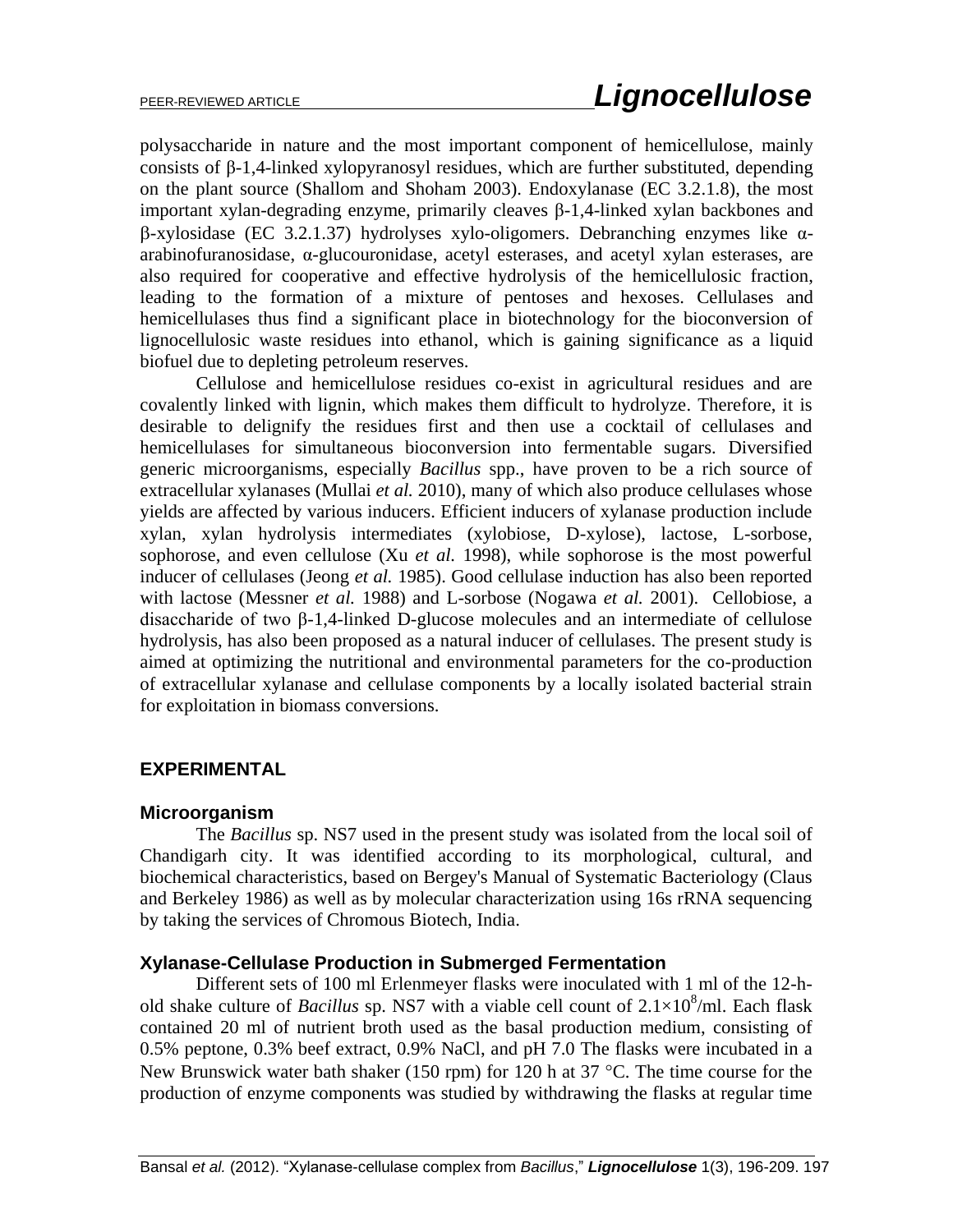polysaccharide in nature and the most important component of hemicellulose, mainly consists of β-1,4-linked xylopyranosyl residues, which are further substituted, depending on the plant source (Shallom and Shoham 2003). Endoxylanase (EC 3.2.1.8), the most important xylan-degrading enzyme, primarily cleaves β-1,4-linked xylan backbones and -xylosidase (EC 3.2.1.37) hydrolyses xylo-oligomers. Debranching enzymes like αarabinofuranosidase, α-glucouronidase, acetyl esterases, and acetyl xylan esterases, are also required for cooperative and effective hydrolysis of the hemicellulosic fraction, leading to the formation of a mixture of pentoses and hexoses. Cellulases and hemicellulases thus find a significant place in biotechnology for the bioconversion of lignocellulosic waste residues into ethanol, which is gaining significance as a liquid biofuel due to depleting petroleum reserves.

Cellulose and hemicellulose residues co-exist in agricultural residues and are covalently linked with lignin, which makes them difficult to hydrolyze. Therefore, it is desirable to delignify the residues first and then use a cocktail of cellulases and hemicellulases for simultaneous bioconversion into fermentable sugars. Diversified generic microorganisms, especially *Bacillus* spp., have proven to be a rich source of extracellular xylanases (Mullai *et al.* 2010), many of which also produce cellulases whose yields are affected by various inducers. Efficient inducers of xylanase production include xylan, xylan hydrolysis intermediates (xylobiose, D-xylose), lactose, L-sorbose, sophorose, and even cellulose (Xu *et al.* 1998), while sophorose is the most powerful inducer of cellulases (Jeong *et al.* 1985). Good cellulase induction has also been reported with lactose (Messner *et al.* 1988) and L-sorbose (Nogawa *et al.* 2001). Cellobiose, a disaccharide of two β-1,4-linked D-glucose molecules and an intermediate of cellulose hydrolysis, has also been proposed as a natural inducer of cellulases. The present study is aimed at optimizing the nutritional and environmental parameters for the co-production of extracellular xylanase and cellulase components by a locally isolated bacterial strain for exploitation in biomass conversions.

## **EXPERIMENTAL**

## **Microorganism**

The *Bacillus* sp. NS7 used in the present study was isolated from the local soil of Chandigarh city. It was identified according to its morphological, cultural, and biochemical characteristics, based on Bergey's Manual of Systematic Bacteriology (Claus and Berkeley 1986) as well as by molecular characterization using 16s rRNA sequencing by taking the services of Chromous Biotech, India.

## **Xylanase-Cellulase Production in Submerged Fermentation**

Different sets of 100 ml Erlenmeyer flasks were inoculated with 1 ml of the 12-hold shake culture of *Bacillus* sp. NS7 with a viable cell count of  $2.1 \times 10^8$ /ml. Each flask contained 20 ml of nutrient broth used as the basal production medium, consisting of 0.5% peptone, 0.3% beef extract, 0.9% NaCl, and pH 7.0 The flasks were incubated in a New Brunswick water bath shaker (150 rpm) for 120 h at 37  $\degree$ C. The time course for the production of enzyme components was studied by withdrawing the flasks at regular time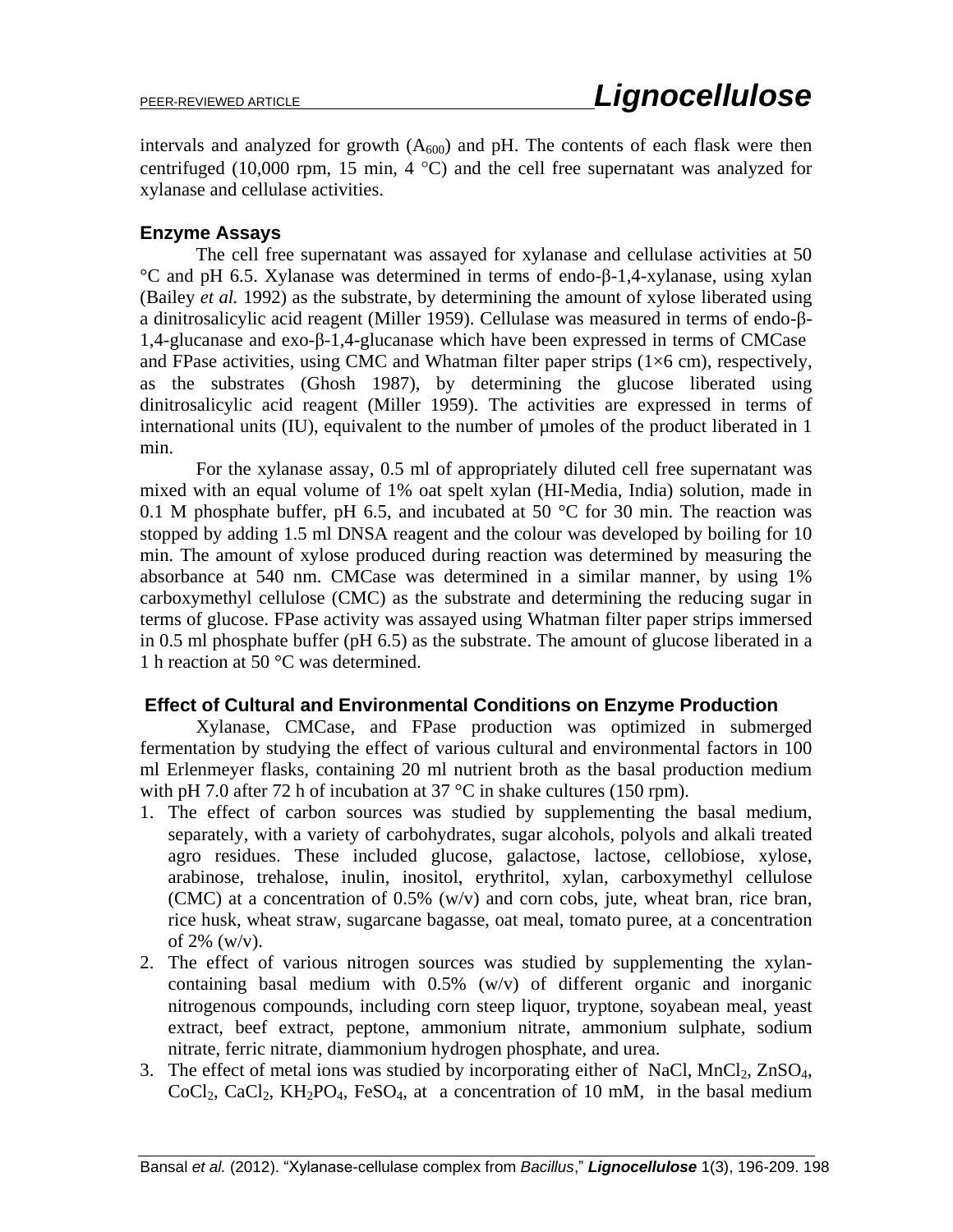intervals and analyzed for growth  $(A_{600})$  and pH. The contents of each flask were then centrifuged (10,000 rpm, 15 min, 4  $^{\circ}$ C) and the cell free supernatant was analyzed for xylanase and cellulase activities.

## **Enzyme Assays**

The cell free supernatant was assayed for xylanase and cellulase activities at 50 °C and pH 6.5. Xylanase was determined in terms of endo-β-1,4-xylanase, using xylan (Bailey *et al.* 1992) as the substrate, by determining the amount of xylose liberated using a dinitrosalicylic acid reagent (Miller 1959). Cellulase was measured in terms of endo-β-1,4-glucanase and exo-β-1,4-glucanase which have been expressed in terms of CMCase and FPase activities, using CMC and Whatman filter paper strips  $(1\times6 \text{ cm})$ , respectively, as the substrates (Ghosh 1987), by determining the glucose liberated using dinitrosalicylic acid reagent (Miller 1959). The activities are expressed in terms of international units (IU), equivalent to the number of umoles of the product liberated in 1 min.

For the xylanase assay, 0.5 ml of appropriately diluted cell free supernatant was mixed with an equal volume of 1% oat spelt xylan (HI-Media, India) solution, made in 0.1 M phosphate buffer, pH 6.5, and incubated at 50  $^{\circ}$ C for 30 min. The reaction was stopped by adding 1.5 ml DNSA reagent and the colour was developed by boiling for 10 min. The amount of xylose produced during reaction was determined by measuring the absorbance at 540 nm. CMCase was determined in a similar manner, by using 1% carboxymethyl cellulose (CMC) as the substrate and determining the reducing sugar in terms of glucose. FPase activity was assayed using Whatman filter paper strips immersed in 0.5 ml phosphate buffer (pH 6.5) as the substrate. The amount of glucose liberated in a 1 h reaction at 50 °C was determined.

## **Effect of Cultural and Environmental Conditions on Enzyme Production**

Xylanase, CMCase, and FPase production was optimized in submerged fermentation by studying the effect of various cultural and environmental factors in 100 ml Erlenmeyer flasks, containing 20 ml nutrient broth as the basal production medium with pH 7.0 after 72 h of incubation at 37  $^{\circ}$ C in shake cultures (150 rpm).

- 1. The effect of carbon sources was studied by supplementing the basal medium, separately, with a variety of carbohydrates, sugar alcohols, polyols and alkali treated agro residues. These included glucose, galactose, lactose, cellobiose, xylose, arabinose, trehalose, inulin, inositol, erythritol, xylan, carboxymethyl cellulose (CMC) at a concentration of 0.5% (w/v) and corn cobs, jute, wheat bran, rice bran, rice husk, wheat straw, sugarcane bagasse, oat meal, tomato puree, at a concentration of  $2\%$  (w/v).
- 2. The effect of various nitrogen sources was studied by supplementing the xylancontaining basal medium with 0.5% (w/v) of different organic and inorganic nitrogenous compounds, including corn steep liquor, tryptone, soyabean meal, yeast extract, beef extract, peptone, ammonium nitrate, ammonium sulphate, sodium nitrate, ferric nitrate, diammonium hydrogen phosphate, and urea.
- 3. The effect of metal ions was studied by incorporating either of NaCl,  $MnCl<sub>2</sub>$ ,  $ZnSO<sub>4</sub>$ ,  $CoCl<sub>2</sub>, CaCl<sub>2</sub>, KH<sub>2</sub>PO<sub>4</sub>, FeSO<sub>4</sub>, at a concentration of 10 mM, in the basal medium$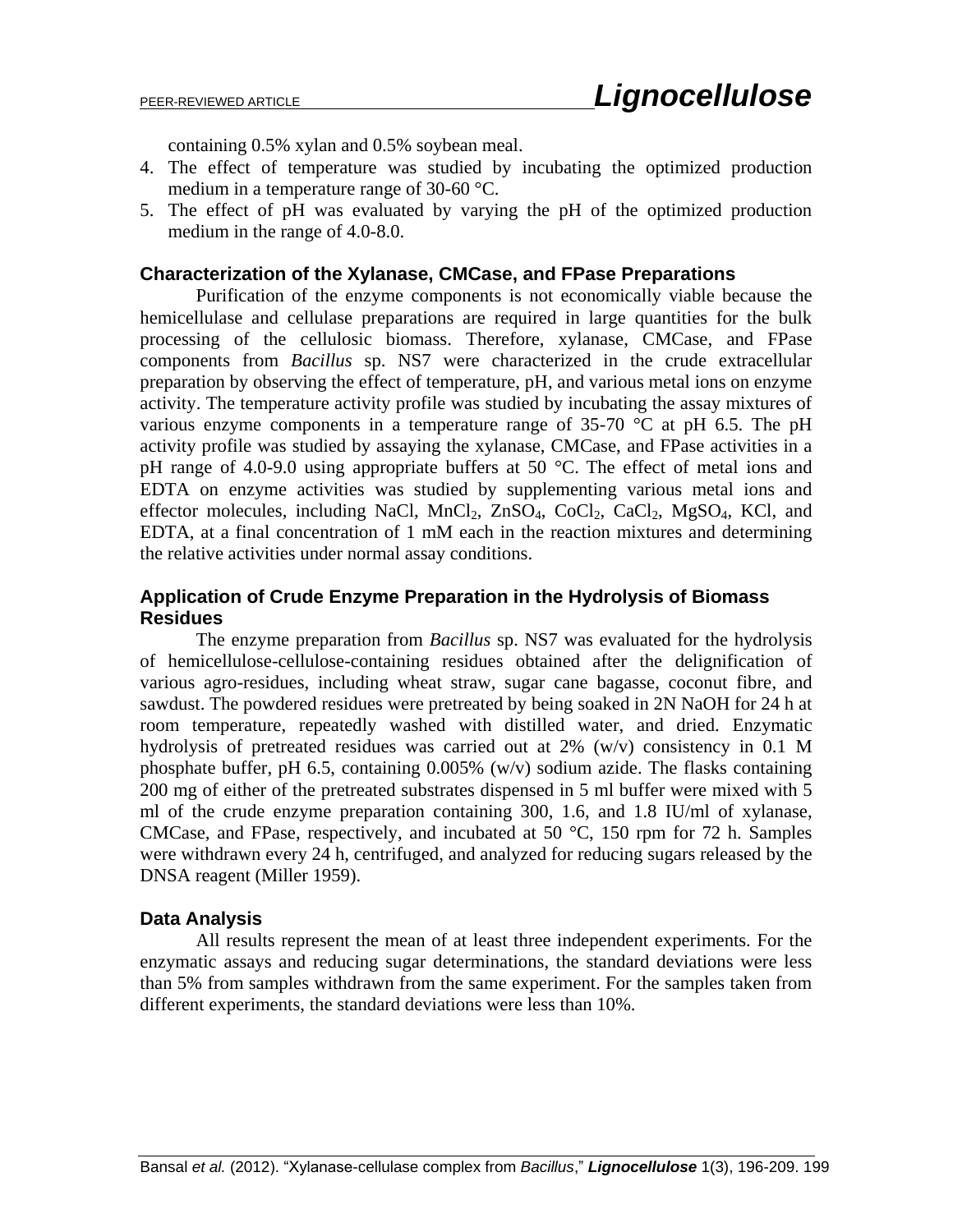containing 0.5% xylan and 0.5% soybean meal.

- 4. The effect of temperature was studied by incubating the optimized production medium in a temperature range of 30-60 °C.
- 5. The effect of pH was evaluated by varying the pH of the optimized production medium in the range of 4.0-8.0.

#### **Characterization of the Xylanase, CMCase, and FPase Preparations**

Purification of the enzyme components is not economically viable because the hemicellulase and cellulase preparations are required in large quantities for the bulk processing of the cellulosic biomass. Therefore, xylanase, CMCase, and FPase components from *Bacillus* sp. NS7 were characterized in the crude extracellular preparation by observing the effect of temperature, pH, and various metal ions on enzyme activity. The temperature activity profile was studied by incubating the assay mixtures of various enzyme components in a temperature range of  $35\text{-}70$  °C at pH 6.5. The pH activity profile was studied by assaying the xylanase, CMCase, and FPase activities in a pH range of 4.0-9.0 using appropriate buffers at 50 °C. The effect of metal ions and EDTA on enzyme activities was studied by supplementing various metal ions and effector molecules, including NaCl,  $MnCl_2$ ,  $ZnSO_4$ ,  $CoCl_2$ ,  $CaCl_2$ ,  $MgSO_4$ , KCl, and EDTA, at a final concentration of 1 mM each in the reaction mixtures and determining the relative activities under normal assay conditions.

## **Application of Crude Enzyme Preparation in the Hydrolysis of Biomass Residues**

The enzyme preparation from *Bacillus* sp. NS7 was evaluated for the hydrolysis of hemicellulose-cellulose-containing residues obtained after the delignification of various agro-residues, including wheat straw, sugar cane bagasse, coconut fibre, and sawdust. The powdered residues were pretreated by being soaked in 2N NaOH for 24 h at room temperature, repeatedly washed with distilled water, and dried. Enzymatic hydrolysis of pretreated residues was carried out at 2% (w/v) consistency in 0.1 M phosphate buffer, pH 6.5, containing 0.005% (w/v) sodium azide. The flasks containing 200 mg of either of the pretreated substrates dispensed in 5 ml buffer were mixed with 5 ml of the crude enzyme preparation containing 300, 1.6, and 1.8 IU/ml of xylanase, CMCase, and FPase, respectively, and incubated at 50 °C, 150 rpm for 72 h. Samples were withdrawn every 24 h, centrifuged, and analyzed for reducing sugars released by the DNSA reagent (Miller 1959).

## **Data Analysis**

All results represent the mean of at least three independent experiments. For the enzymatic assays and reducing sugar determinations, the standard deviations were less than 5% from samples withdrawn from the same experiment. For the samples taken from different experiments, the standard deviations were less than 10%.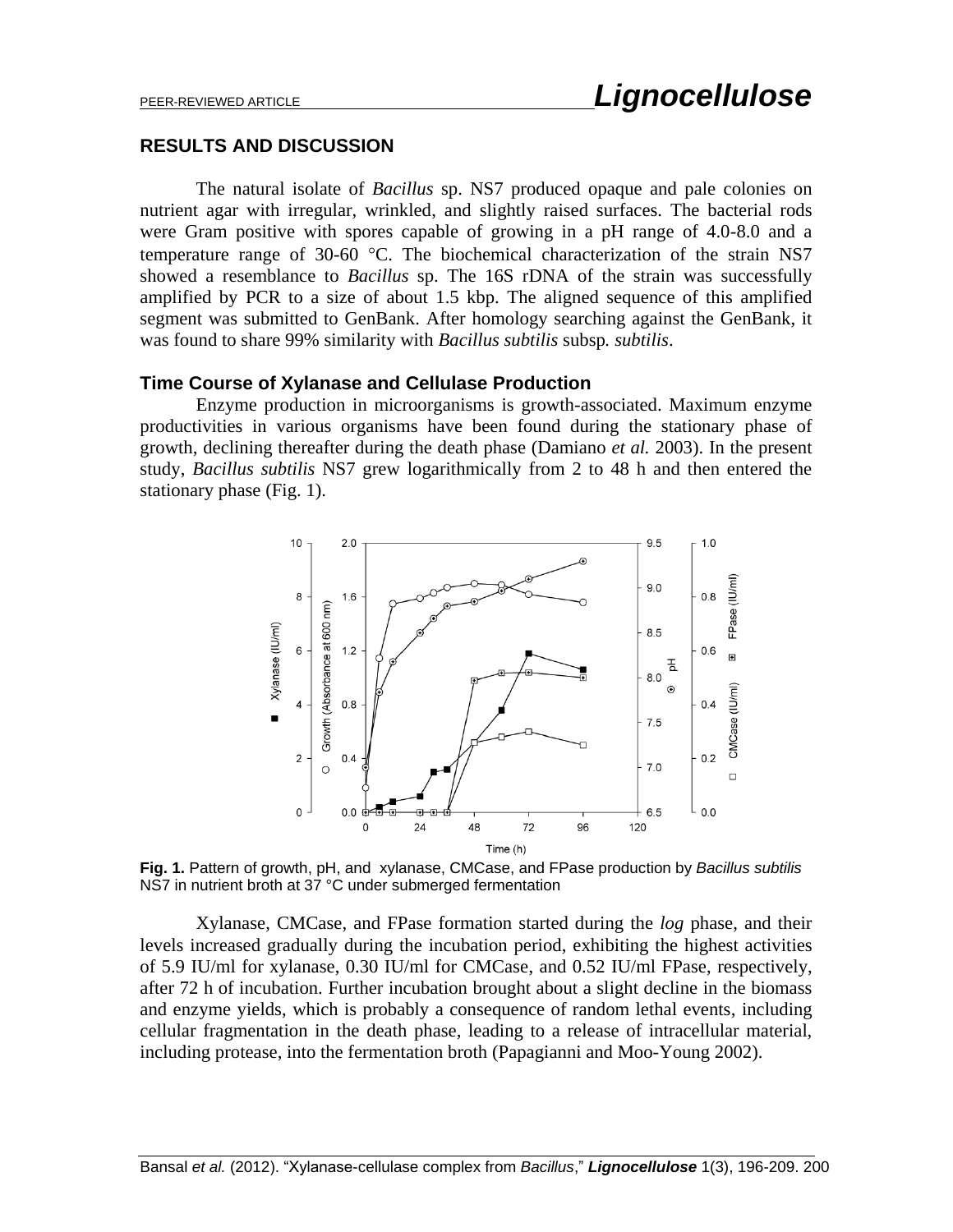#### **RESULTS AND DISCUSSION**

The natural isolate of *Bacillus* sp. NS7 produced opaque and pale colonies on nutrient agar with irregular, wrinkled, and slightly raised surfaces. The bacterial rods were Gram positive with spores capable of growing in a pH range of 4.0-8.0 and a temperature range of 30-60  $^{\circ}$ C. The biochemical characterization of the strain NS7 showed a resemblance to *Bacillus* sp. The 16S rDNA of the strain was successfully amplified by PCR to a size of about 1.5 kbp. The aligned sequence of this amplified segment was submitted to GenBank. After homology searching against the GenBank, it was found to share 99% similarity with *Bacillus subtilis* subsp*. subtilis*.

#### **Time Course of Xylanase and Cellulase Production**

Enzyme production in microorganisms is growth-associated. Maximum enzyme productivities in various organisms have been found during the stationary phase of growth, declining thereafter during the death phase (Damiano *et al.* 2003). In the present study, *Bacillus subtilis* NS7 grew logarithmically from 2 to 48 h and then entered the stationary phase (Fig. 1).



**Fig. 1.** Pattern of growth, pH, and xylanase, CMCase, and FPase production by *Bacillus subtilis* NS7 in nutrient broth at 37 °C under submerged fermentation

Xylanase, CMCase, and FPase formation started during the *log* phase, and their levels increased gradually during the incubation period, exhibiting the highest activities of 5.9 IU/ml for xylanase, 0.30 IU/ml for CMCase, and 0.52 IU/ml FPase, respectively, after 72 h of incubation. Further incubation brought about a slight decline in the biomass and enzyme yields, which is probably a consequence of random lethal events, including cellular fragmentation in the death phase, leading to a release of intracellular material, including protease, into the fermentation broth (Papagianni and Moo-Young 2002).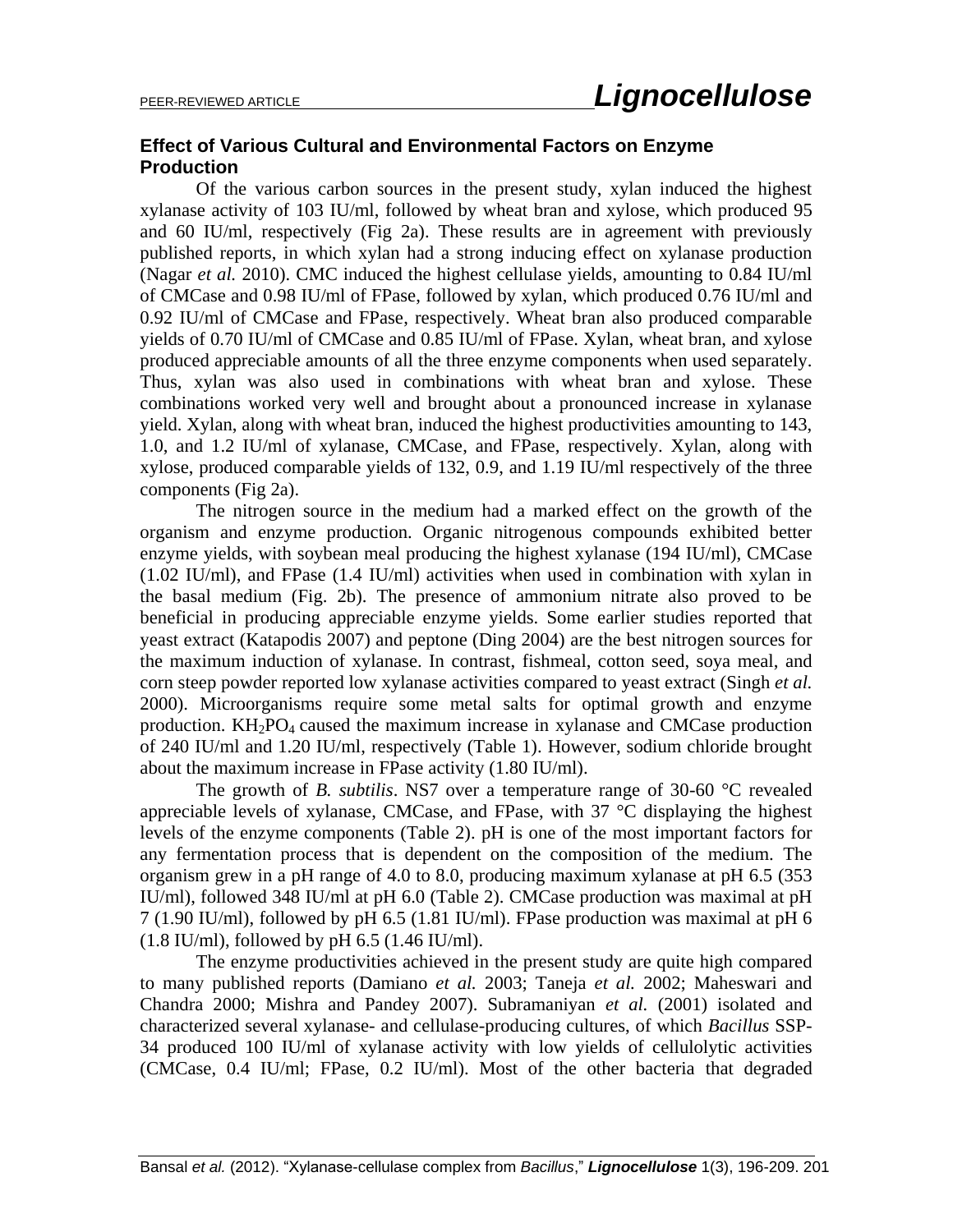## **Effect of Various Cultural and Environmental Factors on Enzyme Production**

Of the various carbon sources in the present study, xylan induced the highest xylanase activity of 103 IU/ml, followed by wheat bran and xylose, which produced 95 and 60 IU/ml, respectively (Fig 2a). These results are in agreement with previously published reports, in which xylan had a strong inducing effect on xylanase production (Nagar *et al.* 2010). CMC induced the highest cellulase yields, amounting to 0.84 IU/ml of CMCase and 0.98 IU/ml of FPase, followed by xylan, which produced 0.76 IU/ml and 0.92 IU/ml of CMCase and FPase, respectively. Wheat bran also produced comparable yields of 0.70 IU/ml of CMCase and 0.85 IU/ml of FPase. Xylan, wheat bran, and xylose produced appreciable amounts of all the three enzyme components when used separately. Thus, xylan was also used in combinations with wheat bran and xylose. These combinations worked very well and brought about a pronounced increase in xylanase yield. Xylan, along with wheat bran, induced the highest productivities amounting to 143, 1.0, and 1.2 IU/ml of xylanase, CMCase, and FPase, respectively. Xylan, along with xylose, produced comparable yields of 132, 0.9, and 1.19 IU/ml respectively of the three components (Fig 2a).

The nitrogen source in the medium had a marked effect on the growth of the organism and enzyme production. Organic nitrogenous compounds exhibited better enzyme yields, with soybean meal producing the highest xylanase (194 IU/ml), CMCase (1.02 IU/ml), and FPase (1.4 IU/ml) activities when used in combination with xylan in the basal medium (Fig. 2b). The presence of ammonium nitrate also proved to be beneficial in producing appreciable enzyme yields. Some earlier studies reported that yeast extract (Katapodis 2007) and peptone (Ding 2004) are the best nitrogen sources for the maximum induction of xylanase. In contrast, fishmeal, cotton seed, soya meal, and corn steep powder reported low xylanase activities compared to yeast extract (Singh *et al.* 2000). Microorganisms require some metal salts for optimal growth and enzyme production.  $KH_2PO_4$  caused the maximum increase in xylanase and CMCase production of 240 IU/ml and 1.20 IU/ml, respectively (Table 1). However, sodium chloride brought about the maximum increase in FPase activity (1.80 IU/ml).

The growth of *B. subtilis*. NS7 over a temperature range of 30-60 °C revealed appreciable levels of xylanase, CMCase, and FPase, with 37 °C displaying the highest levels of the enzyme components (Table 2). pH is one of the most important factors for any fermentation process that is dependent on the composition of the medium. The organism grew in a pH range of 4.0 to 8.0, producing maximum xylanase at pH 6.5 (353 IU/ml), followed 348 IU/ml at pH 6.0 (Table 2). CMCase production was maximal at pH 7 (1.90 IU/ml), followed by pH 6.5 (1.81 IU/ml). FPase production was maximal at pH 6 (1.8 IU/ml), followed by pH 6.5 (1.46 IU/ml).

The enzyme productivities achieved in the present study are quite high compared to many published reports (Damiano *et al.* 2003; Taneja *et al.* 2002; Maheswari and Chandra 2000; Mishra and Pandey 2007). Subramaniyan *et al.* (2001) isolated and characterized several xylanase- and cellulase-producing cultures, of which *Bacillus* SSP-34 produced 100 IU/ml of xylanase activity with low yields of cellulolytic activities (CMCase, 0.4 IU/ml; FPase, 0.2 IU/ml). Most of the other bacteria that degraded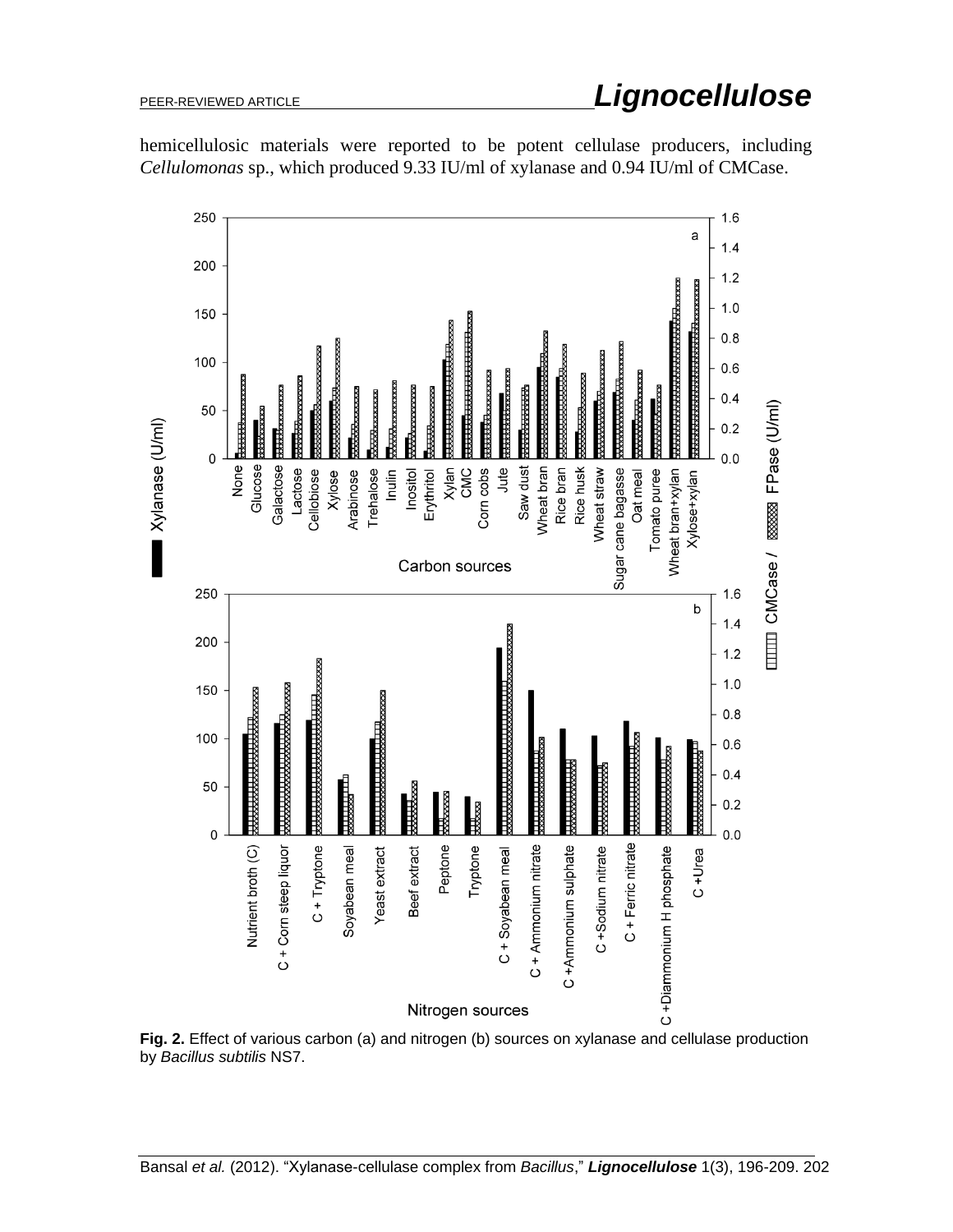

hemicellulosic materials were reported to be potent cellulase producers, including *Cellulomonas* sp., which produced 9.33 IU/ml of xylanase and 0.94 IU/ml of CMCase.

**Fig. 2.** Effect of various carbon (a) and nitrogen (b) sources on xylanase and cellulase production by *Bacillus subtilis* NS7.

# PEER-REVIEWED ARTICLE *Lignocellulose*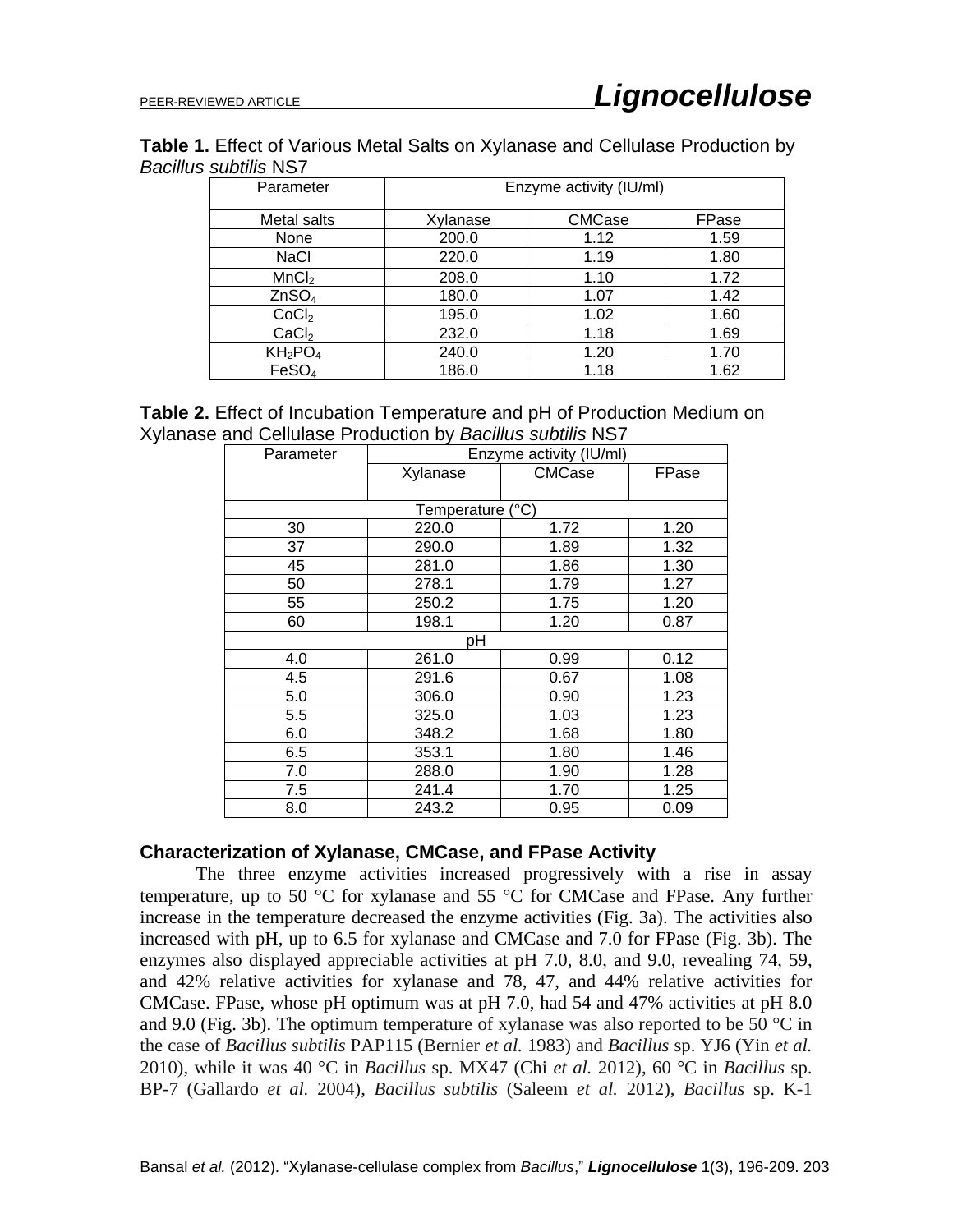## **Table 1.** Effect of Various Metal Salts on Xylanase and Cellulase Production by *Bacillus subtilis* NS7

| Parameter         | Enzyme activity (IU/ml) |        |       |
|-------------------|-------------------------|--------|-------|
| Metal salts       | Xylanase                | CMCase | FPase |
| None              | 200.0                   | 1.12   | 1.59  |
| <b>NaCl</b>       | 220.0                   | 1.19   | 1.80  |
| MnCl <sub>2</sub> | 208.0                   | 1.10   | 1.72  |
| ZnSO <sub>4</sub> | 180.0                   | 1.07   | 1.42  |
| CoCl <sub>2</sub> | 195.0                   | 1.02   | 1.60  |
| CaCl <sub>2</sub> | 232.0                   | 1.18   | 1.69  |
| $KH_2PO_4$        | 240.0                   | 1.20   | 1.70  |
| FeSO <sub>4</sub> | 186.0                   | 1.18   | 1.62  |

|                                                            | <b>Table 2.</b> Effect of Incubation Temperature and pH of Production Medium on |
|------------------------------------------------------------|---------------------------------------------------------------------------------|
| Xylanase and Cellulase Production by Bacillus subtilis NS7 |                                                                                 |

| Parameter        | Enzyme activity (IU/ml) |        |       |  |
|------------------|-------------------------|--------|-------|--|
|                  | Xylanase                | CMCase | FPase |  |
|                  |                         |        |       |  |
| Temperature (°C) |                         |        |       |  |
| 30               | 220.0                   | 1.72   | 1.20  |  |
| 37               | 290.0                   | 1.89   | 1.32  |  |
| 45               | 281.0                   | 1.86   | 1.30  |  |
| 50               | 278.1                   | 1.79   | 1.27  |  |
| 55               | 250.2                   | 1.75   | 1.20  |  |
| 60               | 198.1                   | 1.20   | 0.87  |  |
| pН               |                         |        |       |  |
| 4.0              | 261.0                   | 0.99   | 0.12  |  |
| 4.5              | 291.6                   | 0.67   | 1.08  |  |
| 5.0              | 306.0                   | 0.90   | 1.23  |  |
| 5.5              | 325.0                   | 1.03   | 1.23  |  |
| 6.0              | 348.2                   | 1.68   | 1.80  |  |
| 6.5              | 353.1                   | 1.80   | 1.46  |  |
| 7.0              | 288.0                   | 1.90   | 1.28  |  |
| 7.5              | 241.4                   | 1.70   | 1.25  |  |
| 8.0              | 243.2                   | 0.95   | 0.09  |  |

#### **Characterization of Xylanase, CMCase, and FPase Activity**

The three enzyme activities increased progressively with a rise in assay temperature, up to 50 °C for xylanase and 55 °C for CMCase and FPase. Any further increase in the temperature decreased the enzyme activities (Fig. 3a). The activities also increased with pH, up to 6.5 for xylanase and CMCase and 7.0 for FPase (Fig. 3b). The enzymes also displayed appreciable activities at pH 7.0, 8.0, and 9.0, revealing 74, 59, and 42% relative activities for xylanase and 78, 47, and 44% relative activities for CMCase. FPase, whose pH optimum was at pH 7.0, had 54 and 47% activities at pH 8.0 and 9.0 (Fig. 3b). The optimum temperature of xylanase was also reported to be 50  $\degree$ C in the case of *Bacillus subtilis* PAP115 (Bernier *et al.* 1983) and *Bacillus* sp. YJ6 (Yin *et al.* 2010), while it was 40 °C in *Bacillus* sp. MX47 (Chi *et al.* 2012), 60 °C in *Bacillus* sp. BP-7 (Gallardo *et al.* 2004), *Bacillus subtilis* (Saleem *et al.* 2012), *Bacillus* sp. K-1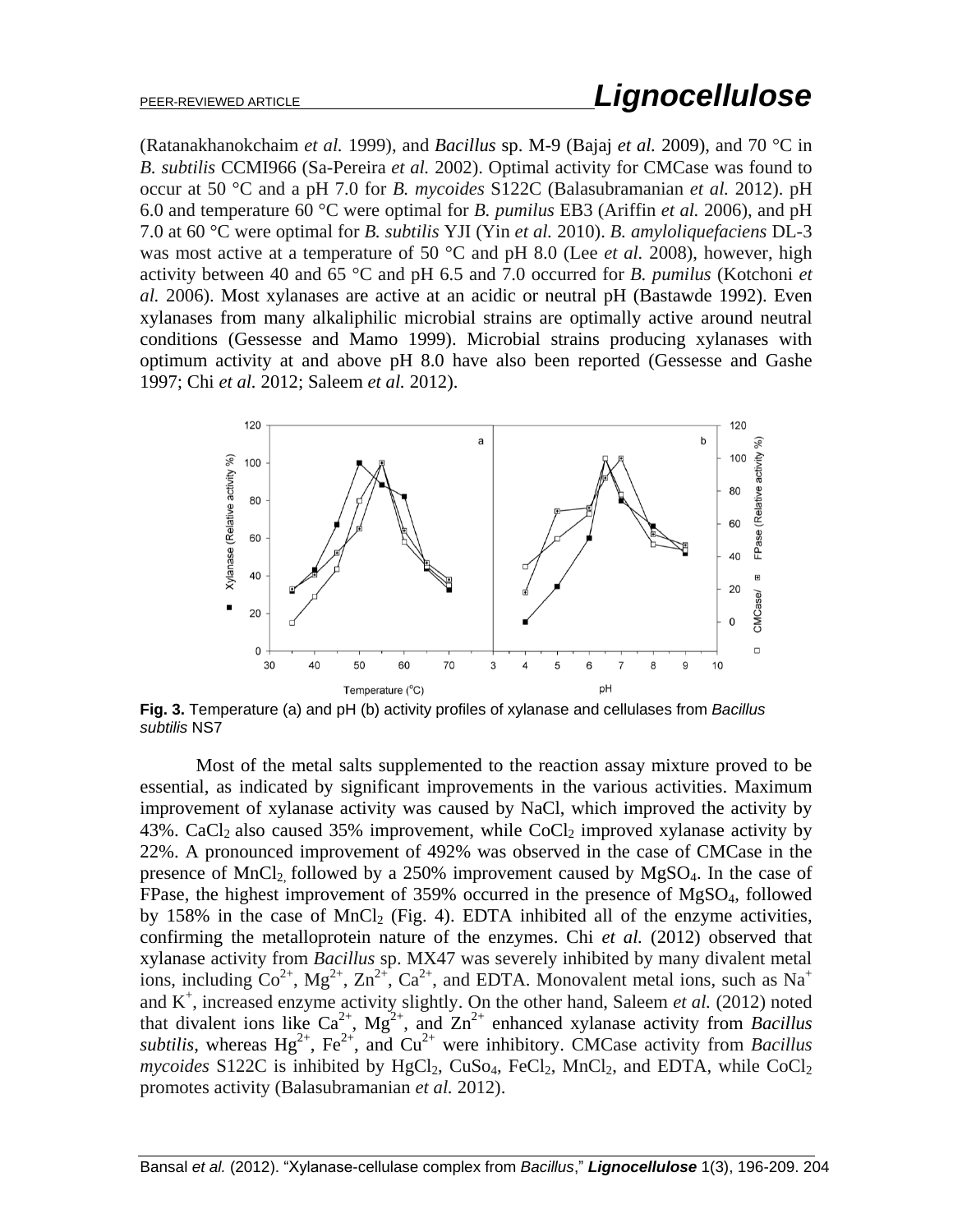## PEER-REVIEWED ARTICLE *Lignocellulose*

(Ratanakhanokchaim *et al.* 1999), and *Bacillus* sp. M-9 (Bajaj *et al.* 2009), and 70 °C in *B. subtilis* CCMI966 (Sa-Pereira *et al.* 2002). Optimal activity for CMCase was found to occur at 50 °C and a pH 7.0 for *B. mycoides* S122C (Balasubramanian *et al.* 2012). pH 6.0 and temperature 60 °C were optimal for *B. pumilus* EB3 (Ariffin *et al.* 2006), and pH 7.0 at 60 °C were optimal for *B. subtilis* YJI (Yin *et al.* 2010). *B. amyloliquefaciens* DL-3 was most active at a temperature of 50 °C and pH 8.0 (Lee *et al.* 2008), however, high activity between 40 and 65 °C and pH 6.5 and 7.0 occurred for *B. pumilus* (Kotchoni *et al.* 2006). Most xylanases are active at an acidic or neutral pH (Bastawde 1992). Even xylanases from many alkaliphilic microbial strains are optimally active around neutral conditions (Gessesse and Mamo 1999). Microbial strains producing xylanases with optimum activity at and above pH 8.0 have also been reported (Gessesse and Gashe 1997; Chi *et al.* 2012; Saleem *et al.* 2012).



**Fig. 3.** Temperature (a) and pH (b) activity profiles of xylanase and cellulases from *Bacillus subtilis* NS7

Most of the metal salts supplemented to the reaction assay mixture proved to be essential, as indicated by significant improvements in the various activities. Maximum improvement of xylanase activity was caused by NaCl, which improved the activity by 43%. CaCl<sub>2</sub> also caused 35% improvement, while CoCl<sub>2</sub> improved xylanase activity by 22%. A pronounced improvement of 492% was observed in the case of CMCase in the presence of  $MnCl<sub>2</sub>$  followed by a 250% improvement caused by  $MgSO<sub>4</sub>$ . In the case of FPase, the highest improvement of 359% occurred in the presence of MgSO4, followed by 158% in the case of MnCl<sub>2</sub> (Fig. 4). EDTA inhibited all of the enzyme activities, confirming the metalloprotein nature of the enzymes. Chi *et al.* (2012) observed that xylanase activity from *Bacillus* sp. MX47 was severely inhibited by many divalent metal ions, including  $\text{Co}^{2+}$ ,  $\text{Mg}^{2+}$ ,  $\text{Zn}^{2+}$ ,  $\text{Ca}^{2+}$ , and EDTA. Monovalent metal ions, such as Na<sup>+</sup> and  $K^+$ , increased enzyme activity slightly. On the other hand, Saleem *et al.* (2012) noted that divalent ions like  $Ca^{2+}$ ,  $Mg^{2+}$ , and  $Zn^{2+}$  enhanced xylanase activity from *Bacillus subtilis*, whereas  $Hg^{2+}$ ,  $Fe^{2+}$ , and  $Cu^{2+}$  were inhibitory. CMCase activity from *Bacillus*  $mycoides$  S122C is inhibited by  $HgCl<sub>2</sub>$ ,  $CuSo<sub>4</sub>$ ,  $FeCl<sub>2</sub>$ ,  $MnCl<sub>2</sub>$ , and EDTA, while  $CoCl<sub>2</sub>$ promotes activity (Balasubramanian *et al.* 2012).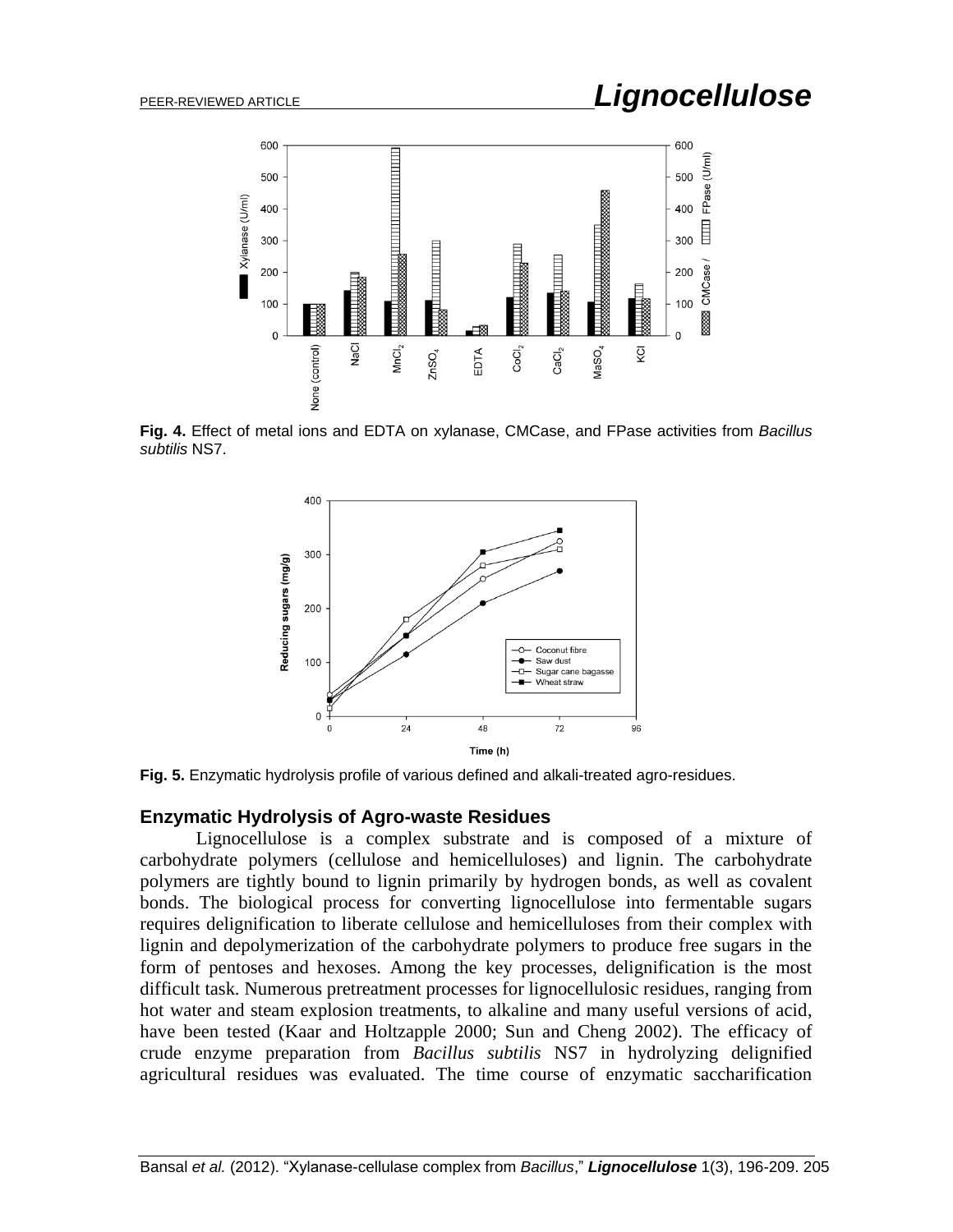

 **Fig. 4.** Effect of metal ions and EDTA on xylanase, CMCase, and FPase activities from *Bacillus subtilis* NS7.



 $\overline{a}$ **Fig. 5.** Enzymatic hydrolysis profile of various defined and alkali-treated agro-residues.

#### **Enzymatic Hydrolysis of Agro-waste Residues**

Lignocellulose is a complex substrate and is composed of a mixture of carbohydrate polymers (cellulose and hemicelluloses) and lignin. The carbohydrate polymers are tightly bound to lignin primarily by hydrogen bonds, as well as covalent bonds. The biological process for converting lignocellulose into fermentable sugars requires delignification to liberate cellulose and hemicelluloses from their complex with lignin and depolymerization of the carbohydrate polymers to produce free sugars in the form of pentoses and hexoses. Among the key processes, delignification is the most difficult task. Numerous pretreatment processes for lignocellulosic residues, ranging from hot water and steam explosion treatments, to alkaline and many useful versions of acid, have been tested (Kaar and Holtzapple 2000; Sun and Cheng 2002). The efficacy of crude enzyme preparation from *Bacillus subtilis* NS7 in hydrolyzing delignified agricultural residues was evaluated. The time course of enzymatic saccharification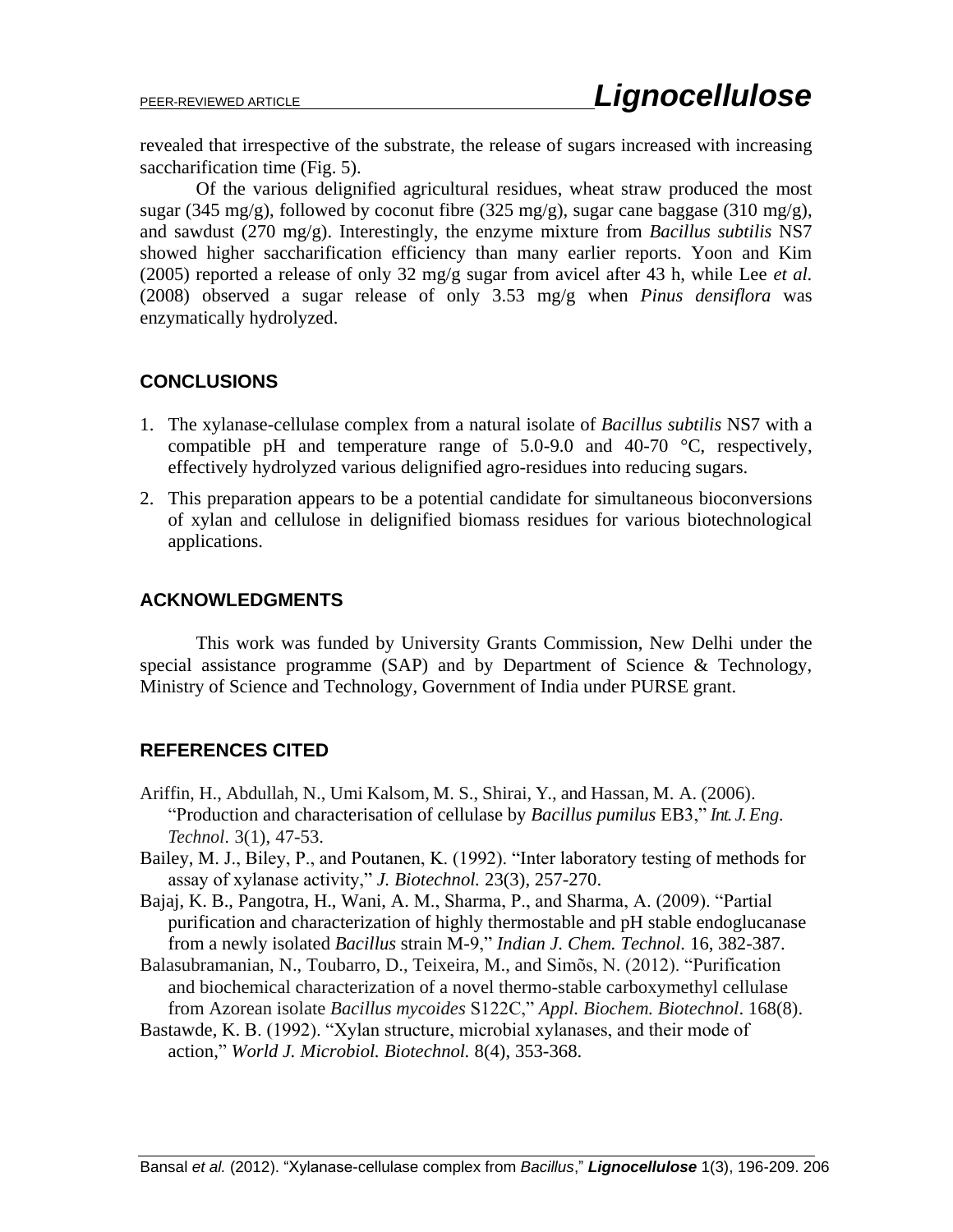revealed that irrespective of the substrate, the release of sugars increased with increasing saccharification time (Fig. 5).

Of the various delignified agricultural residues, wheat straw produced the most sugar (345 mg/g), followed by coconut fibre (325 mg/g), sugar cane baggase (310 mg/g), and sawdust (270 mg/g). Interestingly, the enzyme mixture from *Bacillus subtilis* NS7 showed higher saccharification efficiency than many earlier reports. Yoon and Kim (2005) reported a release of only 32 mg/g sugar from avicel after 43 h, while Lee *et al.* (2008) observed a sugar release of only 3.53 mg/g when *Pinus densiflora* was enzymatically hydrolyzed.

## **CONCLUSIONS**

- 1. The xylanase-cellulase complex from a natural isolate of *Bacillus subtilis* NS7 with a compatible pH and temperature range of  $5.0\n-9.0$  and  $40\n-70$  °C, respectively, effectively hydrolyzed various delignified agro-residues into reducing sugars.
- 2. This preparation appears to be a potential candidate for simultaneous bioconversions of xylan and cellulose in delignified biomass residues for various biotechnological applications.

## **ACKNOWLEDGMENTS**

This work was funded by University Grants Commission, New Delhi under the special assistance programme (SAP) and by Department of Science & Technology, Ministry of Science and Technology, Government of India under PURSE grant.

## **REFERENCES CITED**

- Ariffin, H., Abdullah, N., Umi Kalsom, M. S., Shirai, Y., and Hassan, M. A. (2006). "Production and characterisation of cellulase by *Bacillus pumilus* EB3," *Int. J.Eng. Technol*. 3(1), 47-53.
- Bailey, M. J., Biley, P., and Poutanen, K. (1992). "Inter laboratory testing of methods for assay of xylanase activity," *J. Biotechnol.* 23(3), 257-270.
- Bajaj, K. B., Pangotra, H., Wani, A. M., Sharma, P., and Sharma, A. (2009). "Partial purification and characterization of highly thermostable and pH stable endoglucanase from a newly isolated *Bacillus* strain M-9," *Indian J. Chem. Technol.* 16, 382-387.
- Balasubramanian, N., Toubarro, D., Teixeira, M., and Simõs, N. (2012). "Purification and biochemical characterization of a novel thermo-stable carboxymethyl cellulase from Azorean isolate *Bacillus mycoides* S122C," *Appl. Biochem. Biotechnol*. 168(8).
- Bastawde, K. B. (1992). "Xylan structure, microbial xylanases, and their mode of action," *World J. Microbiol. Biotechnol.* 8(4), 353-368.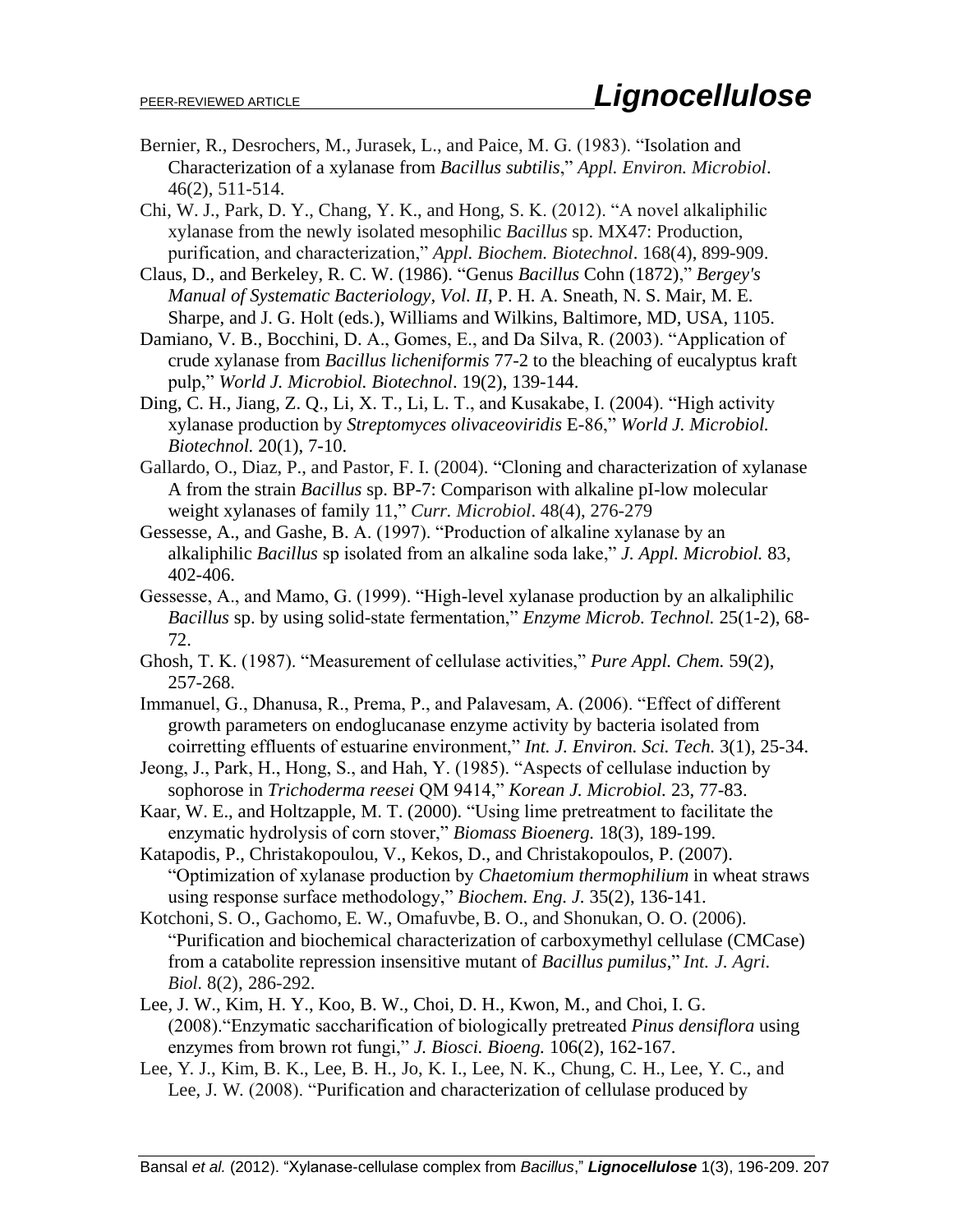- Bernier, R., Desrochers, M., Jurasek, L., and Paice, M. G. (1983). "Isolation and Characterization of a xylanase from *Bacillus subtilis*," *Appl. Environ. Microbiol*. 46(2), 511-514.
- Chi, W. J., Park, D. Y., Chang, Y. K., and Hong, S. K. (2012). "A novel alkaliphilic xylanase from the newly isolated mesophilic *Bacillus* sp. MX47: Production, purification, and characterization," *Appl. Biochem. Biotechnol*. 168(4), 899-909.
- Claus, D., and Berkeley, R. C. W. (1986). "Genus *Bacillus* Cohn (1872)," *Bergey's Manual of Systematic Bacteriology, Vol. II*, P. H. A. Sneath, N. S. Mair, M. E. Sharpe, and J. G. Holt (eds.), Williams and Wilkins, Baltimore, MD, USA, 1105.
- Damiano, V. B., Bocchini, D. A., Gomes, E., and Da Silva, R. (2003). "Application of crude xylanase from *Bacillus licheniformis* 77-2 to the bleaching of eucalyptus kraft pulp," *World J. Microbiol. Biotechnol*. 19(2), 139-144.
- Ding, C. H., Jiang, Z. Q., Li, X. T., Li, L. T., and Kusakabe, I. (2004). "High activity xylanase production by *Streptomyces olivaceoviridis* E-86," *World J. Microbiol. Biotechnol.* 20(1), 7-10.
- Gallardo, O., Diaz, P., and Pastor, F. I. (2004). "Cloning and characterization of xylanase A from the strain *Bacillus* sp. BP-7: Comparison with alkaline pI-low molecular weight xylanases of family 11," *Curr. Microbiol*. 48(4), 276-279
- Gessesse, A., and Gashe, B. A. (1997). "Production of alkaline xylanase by an alkaliphilic *Bacillus* sp isolated from an alkaline soda lake," *J. Appl. Microbiol.* 83, 402-406.
- Gessesse, A., and Mamo, G. (1999). "High-level xylanase production by an alkaliphilic *Bacillus* sp. by using solid-state fermentation," *Enzyme Microb. Technol.* 25(1-2), 68- 72.
- Ghosh, T. K. (1987). "Measurement of cellulase activities," *Pure Appl. Chem.* 59(2), 257-268.
- Immanuel, G., Dhanusa, R., Prema, P., and Palavesam, A. (2006). "Effect of different growth parameters on endoglucanase enzyme activity by bacteria isolated from coirretting effluents of estuarine environment," *Int. J. Environ. Sci. Tech.* 3(1), 25-34.
- Jeong, J., Park, H., Hong, S., and Hah, Y. (1985). "Aspects of cellulase induction by sophorose in *Trichoderma reesei* QM 9414," *Korean J. Microbiol.* 23, 77-83.
- Kaar, W. E., and Holtzapple, M. T. (2000). "Using lime pretreatment to facilitate the enzymatic hydrolysis of corn stover," *Biomass Bioenerg.* 18(3), 189-199.
- Katapodis, P., Christakopoulou, V., Kekos, D., and Christakopoulos, P. (2007). "Optimization of xylanase production by *Chaetomium thermophilium* in wheat straws using response surface methodology," *Biochem. Eng. J.* 35(2), 136-141.
- Kotchoni, S. O., Gachomo, E. W., Omafuvbe, B. O., and Shonukan, O. O. (2006). "Purification and biochemical characterization of carboxymethyl cellulase (CMCase) from a catabolite repression insensitive mutant of *Bacillus pumilus*," *Int. J. Agri. Biol*. 8(2), 286-292.
- Lee, J. W., Kim, H. Y., Koo, B. W., Choi, D. H., Kwon, M., and Choi, I. G. (2008)."Enzymatic saccharification of biologically pretreated *Pinus densiflora* using enzymes from brown rot fungi," *J. Biosci. Bioeng.* 106(2), 162-167.
- Lee, Y. J., Kim, B. K., Lee, B. H., Jo, K. I., Lee, N. K., Chung, C. H., Lee, Y. C., and Lee, J. W. (2008). "Purification and characterization of cellulase produced by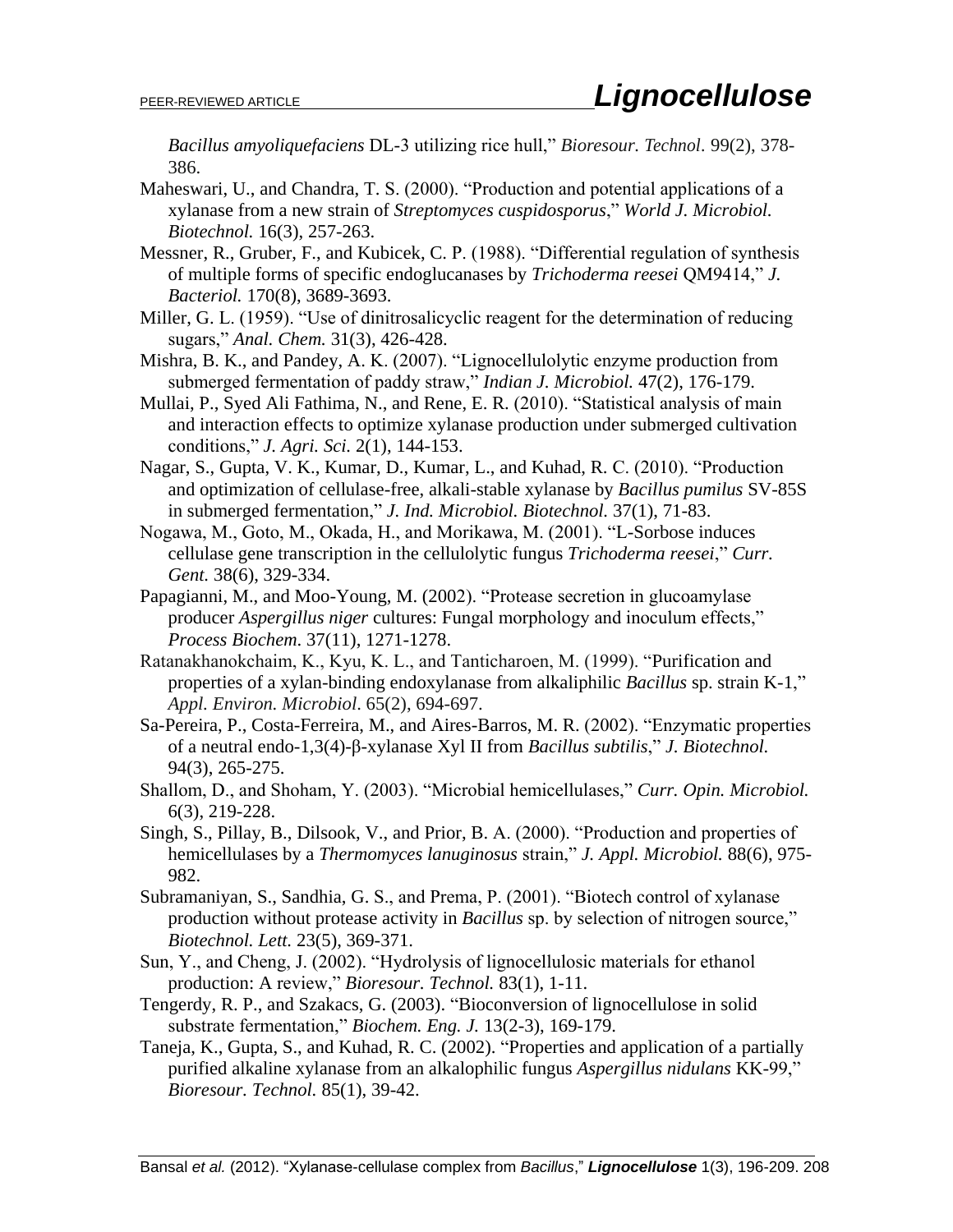*Bacillus amyoliquefaciens* DL-3 utilizing rice hull," *Bioresour. Technol*. 99(2), 378- 386.

- Maheswari, U., and Chandra, T. S. (2000). "Production and potential applications of a xylanase from a new strain of *Streptomyces cuspidosporus*," *World J. Microbiol. Biotechnol.* 16(3), 257-263.
- Messner, R., Gruber, F., and Kubicek, C. P. (1988). "Differential regulation of synthesis of multiple forms of specific endoglucanases by *Trichoderma reesei* QM9414," *J. Bacteriol.* 170(8), 3689-3693.
- Miller, G. L. (1959). "Use of dinitrosalicyclic reagent for the determination of reducing sugars," *Anal. Chem.* 31(3), 426-428.
- Mishra, B. K., and Pandey, A. K. (2007). "Lignocellulolytic enzyme production from submerged fermentation of paddy straw," *Indian J. Microbiol.* 47(2), 176-179.
- Mullai, P., Syed Ali Fathima, N., and Rene, E. R. (2010). "Statistical analysis of main and interaction effects to optimize xylanase production under submerged cultivation conditions," *J. Agri. Sci.* 2(1), 144-153.
- Nagar, S., Gupta, V. K., Kumar, D., Kumar, L., and Kuhad, R. C. (2010). "Production and optimization of cellulase-free, alkali-stable xylanase by *Bacillus pumilus* SV-85S in submerged fermentation," *J. Ind. Microbiol. Biotechnol.* 37(1), 71-83.
- Nogawa, M., Goto, M., Okada, H., and Morikawa, M. (2001). "L-Sorbose induces cellulase gene transcription in the cellulolytic fungus *Trichoderma reesei*," *Curr. Gent.* 38(6), 329-334.
- Papagianni, M., and Moo-Young, M. (2002). "Protease secretion in glucoamylase producer *Aspergillus niger* cultures: Fungal morphology and inoculum effects," *Process Biochem*. 37(11), 1271-1278.
- Ratanakhanokchaim, K., Kyu, K. L., and Tanticharoen, M. (1999). "Purification and properties of a xylan-binding endoxylanase from alkaliphilic *Bacillus* sp. strain K-1," *Appl. Environ. Microbiol*. 65(2), 694-697.
- Sa-Pereira, P., Costa-Ferreira, M., and Aires-Barros, M. R. (2002). "Enzymatic properties of a neutral endo-1,3(4)-β-xylanase Xyl II from *Bacillus subtilis*," *J. Biotechnol.* 94(3), 265-275.
- Shallom, D., and Shoham, Y. (2003). "Microbial hemicellulases," *Curr. Opin. Microbiol.* 6(3), 219-228.
- Singh, S., Pillay, B., Dilsook, V., and Prior, B. A. (2000). "Production and properties of hemicellulases by a *Thermomyces lanuginosus* strain," *J. Appl. Microbiol.* 88(6), 975- 982.
- Subramaniyan, S., Sandhia, G. S., and Prema, P. (2001). "Biotech control of xylanase production without protease activity in *Bacillus* sp. by selection of nitrogen source," *Biotechnol. Lett.* 23(5), 369-371.
- Sun, Y., and Cheng, J. (2002). "Hydrolysis of lignocellulosic materials for ethanol production: A review," *Bioresour. Technol.* 83(1), 1-11.
- Tengerdy, R. P., and Szakacs, G. (2003). "Bioconversion of lignocellulose in solid substrate fermentation," *Biochem. Eng. J.* 13(2-3), 169-179.
- Taneja, K., Gupta, S., and Kuhad, R. C. (2002). "Properties and application of a partially purified alkaline xylanase from an alkalophilic fungus *Aspergillus nidulans* KK-99," *Bioresour. Technol.* 85(1), 39-42.